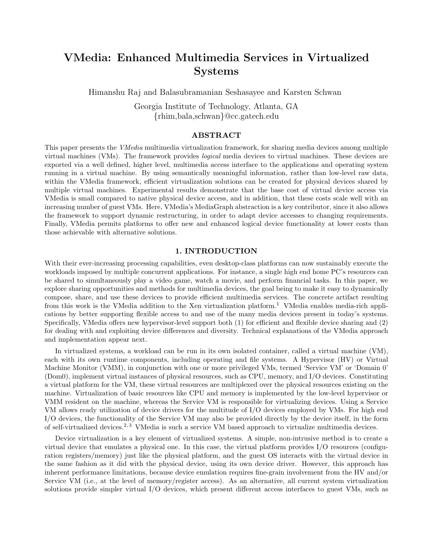# VMedia: Enhanced Multimedia Services in Virtualized Systems

Himanshu Raj and Balasubramanian Seshasayee and Karsten Schwan

Georgia Institute of Technology, Atlanta, GA {rhim,bala,schwan}@cc.gatech.edu

## ABSTRACT

This paper presents the VMedia multimedia virtualization framework, for sharing media devices among multiple virtual machines (VMs). The framework provides logical media devices to virtual machines. These devices are exported via a well defined, higher level, multimedia access interface to the applications and operating system running in a virtual machine. By using semantically meaningful information, rather than low-level raw data, within the VMedia framework, efficient virtualization solutions can be created for physical devices shared by multiple virtual machines. Experimental results demonstrate that the base cost of virtual device access via VMedia is small compared to native physical device access, and in addition, that these costs scale well with an increasing number of guest VMs. Here, VMedia's MediaGraph abstraction is a key contributor, since it also allows the framework to support dynamic restructuring, in order to adapt device accesses to changing requirements. Finally, VMedia permits platforms to offer new and enhanced logical device functionality at lower costs than those achievable with alternative solutions.

### 1. INTRODUCTION

With their ever-increasing processing capabilities, even desktop-class platforms can now sustainably execute the workloads imposed by multiple concurrent applications. For instance, a single high end home PC's resources can be shared to simultaneously play a video game, watch a movie, and perform financial tasks. In this paper, we explore sharing opportunities and methods for multimedia devices, the goal being to make it easy to dynamically compose, share, and use these devices to provide efficient multimedia services. The concrete artifact resulting from this work is the VMedia addition to the Xen virtualization platform.<sup>1</sup> VMedia enables media-rich applications by better supporting flexible access to and use of the many media devices present in today's systems. Specifically, VMedia offers new hypervisor-level support both (1) for efficient and flexible device sharing and (2) for dealing with and exploiting device differences and diversity. Technical explanations of the VMedia approach and implementation appear next.

In virtualized systems, a workload can be run in its own isolated container, called a virtual machine (VM), each with its own runtime components, including operating and file systems. A Hypervisor (HV) or Virtual Machine Monitor (VMM), in conjunction with one or more privileged VMs, termed 'Service VM' or 'Domain 0' (Dom0), implement virtual instances of physical resources, such as CPU, memory, and I/O devices. Constituting a virtual platform for the VM, these virtual resources are multiplexed over the physical resources existing on the machine. Virtualization of basic resources like CPU and memory is implemented by the low-level hypervisor or VMM resident on the machine, whereas the Service VM is responsible for virtualizing devices. Using a Service VM allows ready utilization of device drivers for the multitude of I/O devices employed by VMs. For high end I/O devices, the functionality of the Service VM may also be provided directly by the device itself, in the form of self-virtualized devices.<sup>2, 3</sup> VMedia is such a service VM based approach to virtualize multimedia devices.

Device virtualization is a key element of virtualized systems. A simple, non-intrusive method is to create a virtual device that emulates a physical one. In this case, the virtual platform provides I/O resources (configuration registers/memory) just like the physical platform, and the guest OS interacts with the virtual device in the same fashion as it did with the physical device, using its own device driver. However, this approach has inherent performance limitations, because device emulation requires fine-grain involvement from the HV and/or Service VM (i.e., at the level of memory/register access). As an alternative, all current system virtualization solutions provide simpler virtual I/O devices, which present different access interfaces to guest VMs, such as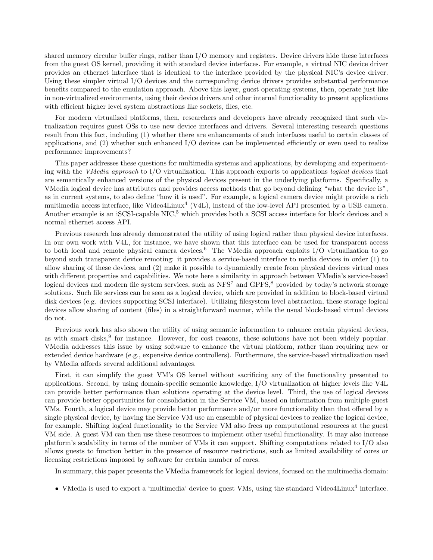shared memory circular buffer rings, rather than I/O memory and registers. Device drivers hide these interfaces from the guest OS kernel, providing it with standard device interfaces. For example, a virtual NIC device driver provides an ethernet interface that is identical to the interface provided by the physical NIC's device driver. Using these simpler virtual I/O devices and the corresponding device drivers provides substantial performance benefits compared to the emulation approach. Above this layer, guest operating systems, then, operate just like in non-virtualized environments, using their device drivers and other internal functionality to present applications with efficient higher level system abstractions like sockets, files, etc.

For modern virtualized platforms, then, researchers and developers have already recognized that such virtualization requires guest OSs to use new device interfaces and drivers. Several interesting research questions result from this fact, including (1) whether there are enhancements of such interfaces useful to certain classes of applications, and (2) whether such enhanced I/O devices can be implemented efficiently or even used to realize performance improvements?

This paper addresses these questions for multimedia systems and applications, by developing and experimenting with the VMedia approach to I/O virtualization. This approach exports to applications logical devices that are semantically enhanced versions of the physical devices present in the underlying platforms. Specifically, a VMedia logical device has attributes and provides access methods that go beyond defining "what the device is", as in current systems, to also define "how it is used". For example, a logical camera device might provide a rich multimedia access interface, like Video4Linux<sup>4</sup> (V4L), instead of the low-level API presented by a USB camera. Another example is an iSCSI-capable NIC,<sup>5</sup> which provides both a SCSI access interface for block devices and a normal ethernet access API.

Previous research has already demonstrated the utility of using logical rather than physical device interfaces. In our own work with V4L, for instance, we have shown that this interface can be used for transparent access to both local and remote physical camera devices.<sup>6</sup> The VMedia approach exploits  $I/O$  virtualization to go beyond such transparent device remoting: it provides a service-based interface to media devices in order (1) to allow sharing of these devices, and (2) make it possible to dynamically create from physical devices virtual ones with different properties and capabilities. We note here a similarity in approach between VMedia's service-based logical devices and modern file system services, such as NFS<sup>7</sup> and GPFS,<sup>8</sup> provided by today's network storage solutions. Such file services can be seen as a logical device, which are provided in addition to block-based virtual disk devices (e.g. devices supporting SCSI interface). Utilizing filesystem level abstraction, these storage logical devices allow sharing of content (files) in a straightforward manner, while the usual block-based virtual devices do not.

Previous work has also shown the utility of using semantic information to enhance certain physical devices, as with smart disks,<sup>9</sup> for instance. However, for cost reasons, these solutions have not been widely popular. VMedia addresses this issue by using software to enhance the virtual platform, rather than requiring new or extended device hardware (e.g., expensive device controllers). Furthermore, the service-based virtualization used by VMedia affords several additional advantages.

First, it can simplify the guest VM's OS kernel without sacrificing any of the functionality presented to applications. Second, by using domain-specific semantic knowledge, I/O virtualization at higher levels like V4L can provide better performance than solutions operating at the device level. Third, the use of logical devices can provide better opportunities for consolidation in the Service VM, based on information from multiple guest VMs. Fourth, a logical device may provide better performance and/or more functionality than that offered by a single physical device, by having the Service VM use an ensemble of physical devices to realize the logical device, for example. Shifting logical functionality to the Service VM also frees up computational resources at the guest VM side. A guest VM can then use these resources to implement other useful functionality. It may also increase platform's scalability in terms of the number of VMs it can support. Shifting computations related to I/O also allows guests to function better in the presence of resource restrictions, such as limited availability of cores or licensing restrictions imposed by software for certain number of cores.

In summary, this paper presents the VMedia framework for logical devices, focused on the multimedia domain:

• VMedia is used to export a 'multimedia' device to guest VMs, using the standard Video4Linux<sup>4</sup> interface.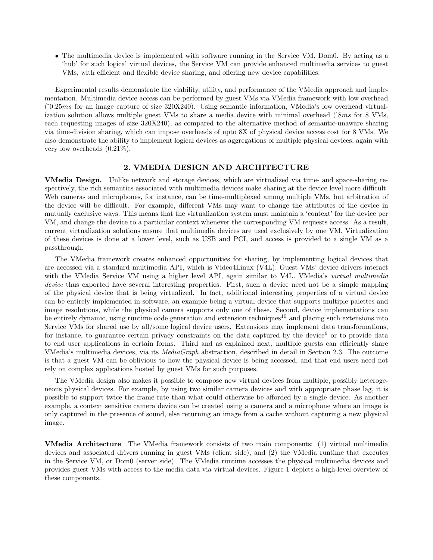• The multimedia device is implemented with software running in the Service VM, Dom0. By acting as a 'hub' for such logical virtual devices, the Service VM can provide enhanced multimedia services to guest VMs, with efficient and flexible device sharing, and offering new device capabilities.

Experimental results demonstrate the viability, utility, and performance of the VMedia approach and implementation. Multimedia device access can be performed by guest VMs via VMedia framework with low overhead  $(0.25ms)$  for an image capture of size  $320X240$ . Using semantic information, VMedia's low overhead virtualization solution allows multiple guest VMs to share a media device with minimal overhead ( $\gamma$ 8ms for 8 VMs, each requesting images of size 320X240), as compared to the alternative method of semantic-unaware sharing via time-division sharing, which can impose overheads of upto 8X of physical device access cost for 8 VMs. We also demonstrate the ability to implement logical devices as aggregations of multiple physical devices, again with very low overheads (0.21%).

#### 2. VMEDIA DESIGN AND ARCHITECTURE

VMedia Design. Unlike network and storage devices, which are virtualized via time- and space-sharing respectively, the rich semantics associated with multimedia devices make sharing at the device level more difficult. Web cameras and microphones, for instance, can be time-multiplexed among multiple VMs, but arbitration of the device will be difficult. For example, different VMs may want to change the attributes of the device in mutually exclusive ways. This means that the virtualization system must maintain a 'context' for the device per VM, and change the device to a particular context whenever the corresponding VM requests access. As a result, current virtualization solutions ensure that multimedia devices are used exclusively by one VM. Virtualization of these devices is done at a lower level, such as USB and PCI, and access is provided to a single VM as a passthrough.

The VMedia framework creates enhanced opportunities for sharing, by implementing logical devices that are accessed via a standard multimedia API, which is Video4Linux (V4L). Guest VMs' device drivers interact with the VMedia Service VM using a higher level API, again similar to V4L. VMedia's *virtual multimedia* device thus exported have several interesting properties. First, such a device need not be a simple mapping of the physical device that is being virtualized. In fact, additional interesting properties of a virtual device can be entirely implemented in software, an example being a virtual device that supports multiple palettes and image resolutions, while the physical camera supports only one of these. Second, device implementations can be entirely dynamic, using runtime code generation and extension techniques<sup>10</sup> and placing such extensions into Service VMs for shared use by all/some logical device users. Extensions may implement data transformations, for instance, to guarantee certain privacy constraints on the data captured by the device<sup>6</sup> or to provide data to end user applications in certain forms. Third and as explained next, multiple guests can efficiently share VMedia's multimedia devices, via its MediaGraph abstraction, described in detail in Section 2.3. The outcome is that a guest VM can be oblivious to how the physical device is being accessed, and that end users need not rely on complex applications hosted by guest VMs for such purposes.

The VMedia design also makes it possible to compose new virtual devices from multiple, possibly heterogeneous physical devices. For example, by using two similar camera devices and with appropriate phase lag, it is possible to support twice the frame rate than what could otherwise be afforded by a single device. As another example, a context sensitive camera device can be created using a camera and a microphone where an image is only captured in the presence of sound, else returning an image from a cache without capturing a new physical image.

VMedia Architecture The VMedia framework consists of two main components: (1) virtual multimedia devices and associated drivers running in guest VMs (client side), and (2) the VMedia runtime that executes in the Service VM, or Dom0 (server side). The VMedia runtime accesses the physical multimedia devices and provides guest VMs with access to the media data via virtual devices. Figure 1 depicts a high-level overview of these components.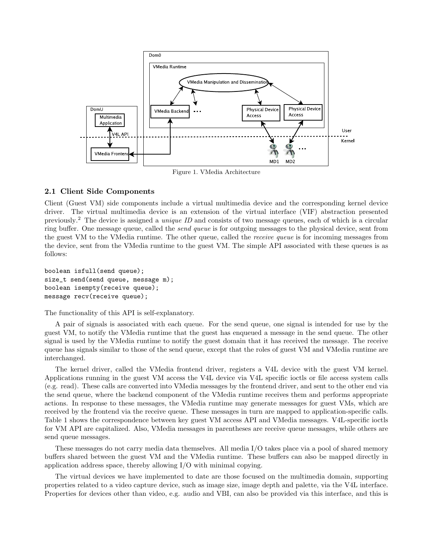

Figure 1. VMedia Architecture

# 2.1 Client Side Components

Client (Guest VM) side components include a virtual multimedia device and the corresponding kernel device driver. The virtual multimedia device is an extension of the virtual interface (VIF) abstraction presented previously.<sup>2</sup> The device is assigned a *unique ID* and consists of two message queues, each of which is a circular ring buffer. One message queue, called the *send queue* is for outgoing messages to the physical device, sent from the guest VM to the VMedia runtime. The other queue, called the *receive queue* is for incoming messages from the device, sent from the VMedia runtime to the guest VM. The simple API associated with these queues is as follows:

boolean isfull(send queue); size\_t send(send queue, message m); boolean isempty(receive queue); message recv(receive queue);

The functionality of this API is self-explanatory.

A pair of signals is associated with each queue. For the send queue, one signal is intended for use by the guest VM, to notify the VMedia runtime that the guest has enqueued a message in the send queue. The other signal is used by the VMedia runtime to notify the guest domain that it has received the message. The receive queue has signals similar to those of the send queue, except that the roles of guest VM and VMedia runtime are interchanged.

The kernel driver, called the VMedia frontend driver, registers a V4L device with the guest VM kernel. Applications running in the guest VM access the V4L device via V4L specific ioctls or file access system calls (e.g. read). These calls are converted into VMedia messages by the frontend driver, and sent to the other end via the send queue, where the backend component of the VMedia runtime receives them and performs appropriate actions. In response to these messages, the VMedia runtime may generate messages for guest VMs, which are received by the frontend via the receive queue. These messages in turn are mapped to application-specific calls. Table 1 shows the correspondence between key guest VM access API and VMedia messages. V4L-specific ioctls for VM API are capitalized. Also, VMedia messages in parentheses are receive queue messages, while others are send queue messages.

These messages do not carry media data themselves. All media I/O takes place via a pool of shared memory buffers shared between the guest VM and the VMedia runtime. These buffers can also be mapped directly in application address space, thereby allowing I/O with minimal copying.

The virtual devices we have implemented to date are those focused on the multimedia domain, supporting properties related to a video capture device, such as image size, image depth and palette, via the V4L interface. Properties for devices other than video, e.g. audio and VBI, can also be provided via this interface, and this is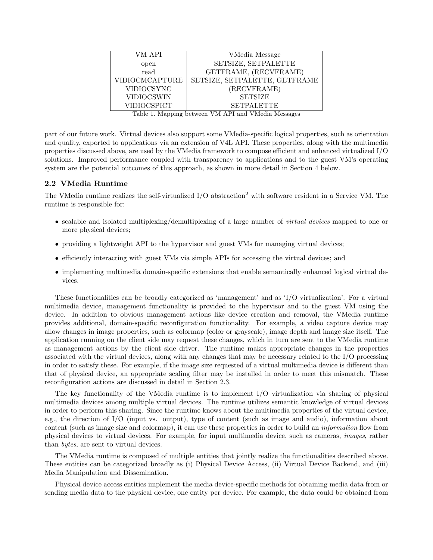| VM API-           | VMedia Message                |
|-------------------|-------------------------------|
| open              | SETSIZE, SETPALETTE           |
| read              | GETFRAME, (RECVFRAME)         |
| VIDIOCMCAPTURE    | SETSIZE, SETPALETTE, GETFRAME |
| VIDIOCSYNC        | (RECVFRAME)                   |
| <b>VIDIOCSWIN</b> | <b>SETSIZE</b>                |
| VIDIOCSPICT       | <b>SETPALETTE</b>             |

Table 1. Mapping between VM API and VMedia Messages

part of our future work. Virtual devices also support some VMedia-specific logical properties, such as orientation and quality, exported to applications via an extension of V4L API. These properties, along with the multimedia properties discussed above, are used by the VMedia framework to compose efficient and enhanced virtualized I/O solutions. Improved performance coupled with transparency to applications and to the guest VM's operating system are the potential outcomes of this approach, as shown in more detail in Section 4 below.

# 2.2 VMedia Runtime

The VMedia runtime realizes the self-virtualized I/O abstraction<sup>2</sup> with software resident in a Service VM. The runtime is responsible for:

- scalable and isolated multiplexing/demultiplexing of a large number of *virtual devices* mapped to one or more physical devices;
- providing a lightweight API to the hypervisor and guest VMs for managing virtual devices;
- efficiently interacting with guest VMs via simple APIs for accessing the virtual devices; and
- implementing multimedia domain-specific extensions that enable semantically enhanced logical virtual devices.

These functionalities can be broadly categorized as 'management' and as 'I/O virtualization'. For a virtual multimedia device, management functionality is provided to the hypervisor and to the guest VM using the device. In addition to obvious management actions like device creation and removal, the VMedia runtime provides additional, domain-specific reconfiguration functionality. For example, a video capture device may allow changes in image properties, such as colormap (color or grayscale), image depth and image size itself. The application running on the client side may request these changes, which in turn are sent to the VMedia runtime as management actions by the client side driver. The runtime makes appropriate changes in the properties associated with the virtual devices, along with any changes that may be necessary related to the I/O processing in order to satisfy these. For example, if the image size requested of a virtual multimedia device is different than that of physical device, an appropriate scaling filter may be installed in order to meet this mismatch. These reconfiguration actions are discussed in detail in Section 2.3.

The key functionality of the VMedia runtime is to implement I/O virtualization via sharing of physical multimedia devices among multiple virtual devices. The runtime utilizes semantic knowledge of virtual devices in order to perform this sharing. Since the runtime knows about the multimedia properties of the virtual device, e.g., the direction of I/O (input vs. output), type of content (such as image and audio), information about content (such as image size and colormap), it can use these properties in order to build an *information* flow from physical devices to virtual devices. For example, for input multimedia device, such as cameras, images, rather than bytes, are sent to virtual devices.

The VMedia runtime is composed of multiple entities that jointly realize the functionalities described above. These entities can be categorized broadly as (i) Physical Device Access, (ii) Virtual Device Backend, and (iii) Media Manipulation and Dissemination.

Physical device access entities implement the media device-specific methods for obtaining media data from or sending media data to the physical device, one entity per device. For example, the data could be obtained from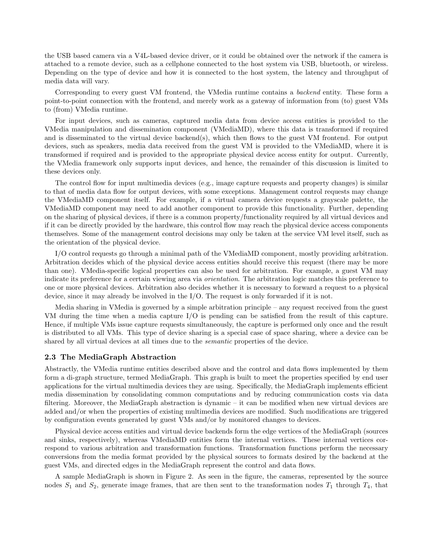the USB based camera via a V4L-based device driver, or it could be obtained over the network if the camera is attached to a remote device, such as a cellphone connected to the host system via USB, bluetooth, or wireless. Depending on the type of device and how it is connected to the host system, the latency and throughput of media data will vary.

Corresponding to every guest VM frontend, the VMedia runtime contains a backend entity. These form a point-to-point connection with the frontend, and merely work as a gateway of information from (to) guest VMs to (from) VMedia runtime.

For input devices, such as cameras, captured media data from device access entities is provided to the VMedia manipulation and dissemination component (VMediaMD), where this data is transformed if required and is disseminated to the virtual device backend(s), which then flows to the guest VM frontend. For output devices, such as speakers, media data received from the guest VM is provided to the VMediaMD, where it is transformed if required and is provided to the appropriate physical device access entity for output. Currently, the VMedia framework only supports input devices, and hence, the remainder of this discussion is limited to these devices only.

The control flow for input multimedia devices (e.g., image capture requests and property changes) is similar to that of media data flow for output devices, with some exceptions. Management control requests may change the VMediaMD component itself. For example, if a virtual camera device requests a grayscale palette, the VMediaMD component may need to add another component to provide this functionality. Further, depending on the sharing of physical devices, if there is a common property/functionality required by all virtual devices and if it can be directly provided by the hardware, this control flow may reach the physical device access components themselves. Some of the management control decisions may only be taken at the service VM level itself, such as the orientation of the physical device.

I/O control requests go through a minimal path of the VMediaMD component, mostly providing arbitration. Arbitration decides which of the physical device access entities should receive this request (there may be more than one). VMedia-specific logical properties can also be used for arbitration. For example, a guest VM may indicate its preference for a certain viewing area via *orientation*. The arbitration logic matches this preference to one or more physical devices. Arbitration also decides whether it is necessary to forward a request to a physical device, since it may already be involved in the I/O. The request is only forwarded if it is not.

Media sharing in VMedia is governed by a simple arbitration principle – any request received from the guest VM during the time when a media capture I/O is pending can be satisfied from the result of this capture. Hence, if multiple VMs issue capture requests simultaneously, the capture is performed only once and the result is distributed to all VMs. This type of device sharing is a special case of space sharing, where a device can be shared by all virtual devices at all times due to the *semantic* properties of the device.

#### 2.3 The MediaGraph Abstraction

Abstractly, the VMedia runtime entities described above and the control and data flows implemented by them form a di-graph structure, termed MediaGraph. This graph is built to meet the properties specified by end user applications for the virtual multimedia devices they are using. Specifically, the MediaGraph implements efficient media dissemination by consolidating common computations and by reducing communication costs via data filtering. Moreover, the MediaGraph abstraction is dynamic – it can be modified when new virtual devices are added and/or when the properties of existing multimedia devices are modified. Such modifications are triggered by configuration events generated by guest VMs and/or by monitored changes to devices.

Physical device access entities and virtual device backends form the edge vertices of the MediaGraph (sources and sinks, respectively), whereas VMediaMD entities form the internal vertices. These internal vertices correspond to various arbitration and transformation functions. Transformation functions perform the necessary conversions from the media format provided by the physical sources to formats desired by the backend at the guest VMs, and directed edges in the MediaGraph represent the control and data flows.

A sample MediaGraph is shown in Figure 2. As seen in the figure, the cameras, represented by the source nodes  $S_1$  and  $S_2$ , generate image frames, that are then sent to the transformation nodes  $T_1$  through  $T_4$ , that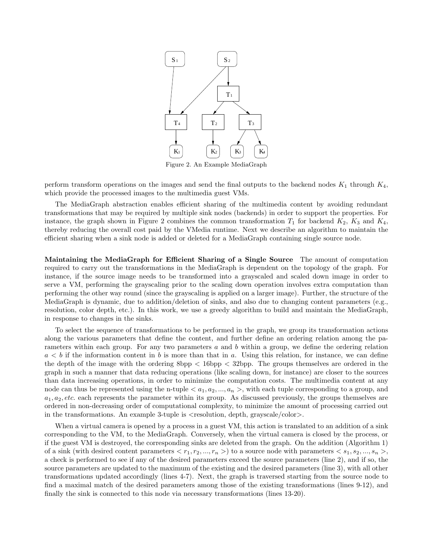

Figure 2. An Example MediaGraph

perform transform operations on the images and send the final outputs to the backend nodes  $K_1$  through  $K_4$ , which provide the processed images to the multimedia guest VMs.

The MediaGraph abstraction enables efficient sharing of the multimedia content by avoiding redundant transformations that may be required by multiple sink nodes (backends) in order to support the properties. For instance, the graph shown in Figure 2 combines the common transformation  $T_1$  for backend  $K_2$ ,  $K_3$  and  $K_4$ , thereby reducing the overall cost paid by the VMedia runtime. Next we describe an algorithm to maintain the efficient sharing when a sink node is added or deleted for a MediaGraph containing single source node.

Maintaining the MediaGraph for Efficient Sharing of a Single Source The amount of computation required to carry out the transformations in the MediaGraph is dependent on the topology of the graph. For instance, if the source image needs to be transformed into a grayscaled and scaled down image in order to serve a VM, performing the grayscaling prior to the scaling down operation involves extra computation than performing the other way round (since the grayscaling is applied on a larger image). Further, the structure of the MediaGraph is dynamic, due to addition/deletion of sinks, and also due to changing content parameters (e.g., resolution, color depth, etc.). In this work, we use a greedy algorithm to build and maintain the MediaGraph, in response to changes in the sinks.

To select the sequence of transformations to be performed in the graph, we group its transformation actions along the various parameters that define the content, and further define an ordering relation among the parameters within each group. For any two parameters  $a$  and  $b$  within a group, we define the ordering relation  $a < b$  if the information content in b is more than that in a. Using this relation, for instance, we can define the depth of the image with the ordering  $8bpp < 16bpp < 32bpp$ . The groups themselves are ordered in the graph in such a manner that data reducing operations (like scaling down, for instance) are closer to the sources than data increasing operations, in order to minimize the computation costs. The multimedia content at any node can thus be represented using the n-tuple  $\langle a_1, a_2, ..., a_n \rangle$ , with each tuple corresponding to a group, and  $a_1, a_2, etc.$  each represents the parameter within its group. As discussed previously, the groups themselves are ordered in non-decreasing order of computational complexity, to minimize the amount of processing carried out in the transformations. An example 3-tuple is <resolution, depth, grayscale/color>.

When a virtual camera is opened by a process in a guest VM, this action is translated to an addition of a sink corresponding to the VM, to the MediaGraph. Conversely, when the virtual camera is closed by the process, or if the guest VM is destroyed, the corresponding sinks are deleted from the graph. On the addition (Algorithm 1) of a sink (with desired content parameters  $\langle r_1, r_2, ..., r_n \rangle$ ) to a source node with parameters  $\langle s_1, s_2, ..., s_n \rangle$ , a check is performed to see if any of the desired parameters exceed the source parameters (line 2), and if so, the source parameters are updated to the maximum of the existing and the desired parameters (line 3), with all other transformations updated accordingly (lines 4-7). Next, the graph is traversed starting from the source node to find a maximal match of the desired parameters among those of the existing transformations (lines 9-12), and finally the sink is connected to this node via necessary transformations (lines 13-20).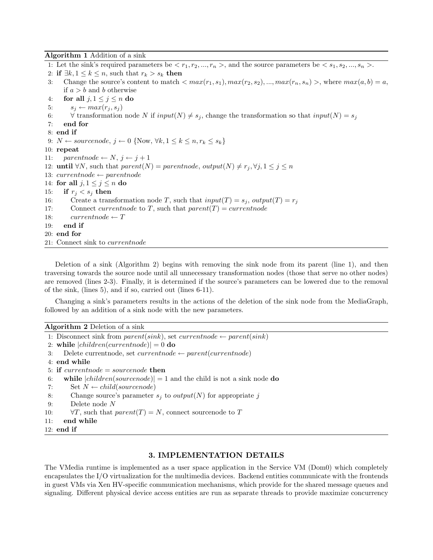Algorithm 1 Addition of a sink

1: Let the sink's required parameters be  $\langle r_1, r_2, ..., r_n \rangle$ , and the source parameters be  $\langle s_1, s_2, ..., s_n \rangle$ . 2: if  $\exists k, 1 \leq k \leq n$ , such that  $r_k > s_k$  then 3: Change the source's content to match  $\langle max(r_1, s_1), max(r_2, s_2), ..., max(r_n, s_n) \rangle$ , where  $max(a, b) = a$ , if  $a > b$  and b otherwise 4: for all  $j, 1 \leq j \leq n$  do 5:  $s_j \leftarrow max(r_j, s_j)$ 6:  $\forall$  transformation node N if  $input(N) \neq s_j$ , change the transformation so that  $input(N) = s_j$ 7: end for 8: end if 9:  $N \leftarrow sourcenode, j \leftarrow 0$  {Now,  $\forall k, 1 \leq k \leq n, r_k \leq s_k$ } 10: repeat 11: parentnode  $\leftarrow N, j \leftarrow j + 1$ 12: **until** ∀N, such that  $parent(N) = parentnode$ ,  $output(N) \neq r_j, \forall j, 1 \leq j \leq n$ 13:  $currentnode \leftarrow parentnode$ 14: for all  $j, 1 \leq j \leq n$  do 15: if  $r_i < s_i$  then 16: Create a transformation node T, such that  $input(T) = s_j$ ,  $output(T) = r_j$ 17: Connect current node to T, such that  $parent(T) = current node$ 18:  $currentnode \leftarrow T$ 19: end if 20: end for 21: Connect sink to currentnode

Deletion of a sink (Algorithm 2) begins with removing the sink node from its parent (line 1), and then traversing towards the source node until all unnecessary transformation nodes (those that serve no other nodes) are removed (lines 2-3). Finally, it is determined if the source's parameters can be lowered due to the removal of the sink, (lines 5), and if so, carried out (lines 6-11).

Changing a sink's parameters results in the actions of the deletion of the sink node from the MediaGraph, followed by an addition of a sink node with the new parameters.

#### Algorithm 2 Deletion of a sink

```
1: Disconnect sink from parent(sink), set current node \leftarrow parent(sink)2: while |children(current node)| = 0 do
 3: Delete currentnode, set currentnode \leftarrow parent(current node)4: end while
 5: if currentnode = sourcenode then
 6: while |children(sourcenode)| = 1 and the child is not a sink node do
 7: Set N \leftarrow child(sourcenode)8: Change source's parameter s_i to output(N) for appropriate j
 9: Delete node N
10: \forall T, such that parent(T) = N, connect sourcenode to T
11: end while
12: end if
```
# 3. IMPLEMENTATION DETAILS

The VMedia runtime is implemented as a user space application in the Service VM (Dom0) which completely encapsulates the I/O virtualization for the multimedia devices. Backend entities communicate with the frontends in guest VMs via Xen HV-specific communication mechanisms, which provide for the shared message queues and signaling. Different physical device access entities are run as separate threads to provide maximize concurrency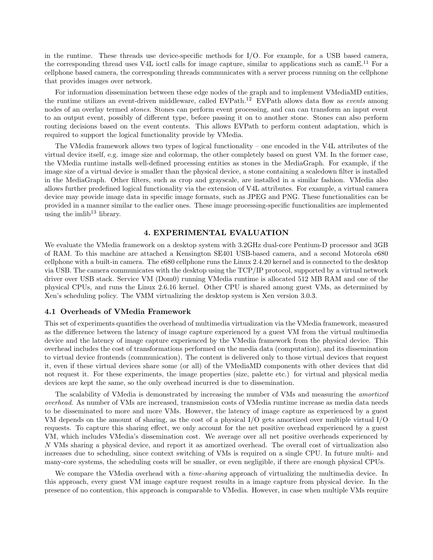in the runtime. These threads use device-specific methods for I/O. For example, for a USB based camera, the corresponding thread uses V4L ioctl calls for image capture, similar to applications such as  $\text{cam}E^{11}$  For a cellphone based camera, the corresponding threads communicates with a server process running on the cellphone that provides images over network.

For information dissemination between these edge nodes of the graph and to implement VMediaMD entities, the runtime utilizes an event-driven middleware, called EVPath.<sup>12</sup> EVPath allows data flow as events among nodes of an overlay termed stones. Stones can perform event processing, and can can transform an input event to an output event, possibly of different type, before passing it on to another stone. Stones can also perform routing decisions based on the event contents. This allows EVPath to perform content adaptation, which is required to support the logical functionality provide by VMedia.

The VMedia framework allows two types of logical functionality – one encoded in the V4L attributes of the virtual device itself, e.g. image size and colormap, the other completely based on guest VM. In the former case, the VMedia runtime installs well-defined processing entities as stones in the MediaGraph. For example, if the image size of a virtual device is smaller than the physical device, a stone containing a scaledown filter is installed in the MediaGraph. Other filters, such as crop and grayscale, are installed in a similar fashion. VMedia also allows further predefined logical functionality via the extension of V4L attributes. For example, a virtual camera device may provide image data in specific image formats, such as JPEG and PNG. These functionalities can be provided in a manner similar to the earlier ones. These image processing-specific functionalities are implemented using the imlib<sup>13</sup> library.

### 4. EXPERIMENTAL EVALUATION

We evaluate the VMedia framework on a desktop system with 3.2GHz dual-core Pentium-D processor and 3GB of RAM. To this machine are attached a Kensington SE401 USB-based camera, and a second Motorola e680 cellphone with a built-in camera. The e680 cellphone runs the Linux 2.4.20 kernel and is connected to the desktop via USB. The camera communicates with the desktop using the TCP/IP protocol, supported by a virtual network driver over USB stack. Service VM (Dom0) running VMedia runtime is allocated 512 MB RAM and one of the physical CPUs, and runs the Linux 2.6.16 kernel. Other CPU is shared among guest VMs, as determined by Xen's scheduling policy. The VMM virtualizing the desktop system is Xen version 3.0.3.

#### 4.1 Overheads of VMedia Framework

This set of experiments quantifies the overhead of multimedia virtualization via the VMedia framework, measured as the difference between the latency of image capture experienced by a guest VM from the virtual multimedia device and the latency of image capture experienced by the VMedia framework from the physical device. This overhead includes the cost of transformations performed on the media data (computation), and its dissemination to virtual device frontends (communication). The content is delivered only to those virtual devices that request it, even if these virtual devices share some (or all) of the VMediaMD components with other devices that did not request it. For these experiments, the image properties (size, palette etc.) for virtual and physical media devices are kept the same, so the only overhead incurred is due to dissemination.

The scalability of VMedia is demonstrated by increasing the number of VMs and measuring the amortized overhead. As number of VMs are increased, transmission costs of VMedia runtime increase as media data needs to be disseminated to more and more VMs. However, the latency of image capture as experienced by a guest VM depends on the amount of sharing, as the cost of a physical I/O gets amortized over multiple virtual I/O requests. To capture this sharing effect, we only account for the net positive overhead experienced by a guest VM, which includes VMedia's dissemination cost. We average over all net positive overheads experienced by N VMs sharing a physical device, and report it as amortized overhead. The overall cost of virtualization also increases due to scheduling, since context switching of VMs is required on a single CPU. In future multi- and many-core systems, the scheduling costs will be smaller, or even negligible, if there are enough physical CPUs.

We compare the VMedia overhead with a *time-sharing* approach of virtualizing the multimedia device. In this approach, every guest VM image capture request results in a image capture from physical device. In the presence of no contention, this approach is comparable to VMedia. However, in case when multiple VMs require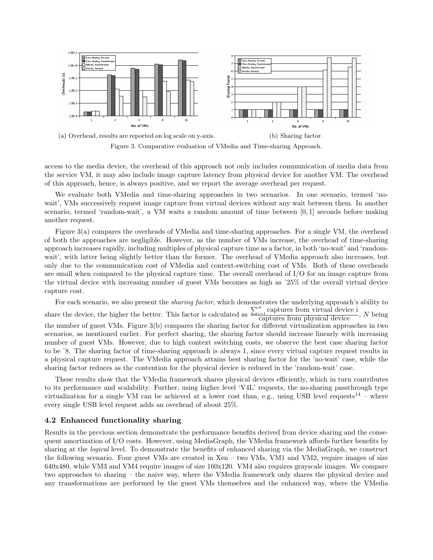

Figure 3. Comparative evaluation of VMedia and Time-sharing Approach.

access to the media device, the overhead of this approach not only includes communication of media data from the service VM, it may also include image capture latency from physical device for another VM. The overhead of this approach, hence, is always positive, and we report the average overhead per request.

We evaluate both VMedia and time-sharing approaches in two scenarios. In one scenario, termed 'nowait', VMs successively request image capture from virtual devices without any wait between them. In another scenario, termed 'random-wait', a VM waits a random amount of time between [0, 1] seconds before making another request.

Figure 3(a) compares the overheads of VMedia and time-sharing approaches. For a single VM, the overhead of both the approaches are negligible. However, as the number of VMs increase, the overhead of time-sharing approach increases rapidly, including multiples of physical capture time as a factor, in both 'no-wait' and 'randomwait', with latter being slightly better than the former. The overhead of VMedia approach also increases, but only due to the communication cost of VMedia and context-switching cost of VMs. Both of these overheads are small when compared to the physical capture time. The overall overhead of I/O for an image capture from the virtual device with increasing number of guest VMs becomes as high as ˜25% of the overall virtual device capture cost.

For each scenario, we also present the *sharing factor*, which demonstrates the underlying approach's ability to share the device, the higher the better. This factor is calculated as  $\frac{\sum_{i=1}^{N} \text{ captures from virtual device i}}{\text{ captures from physical device}}$ , N being the number of guest VMs. Figure 3(b) compares the sharing factor for different virtualization approaches in two scenarios, as mentioned earlier. For perfect sharing, the sharing factor should increase linearly with increasing number of guest VMs. However, due to high context switching costs, we observe the best case sharing factor to be ˜8. The sharing factor of time-sharing approach is always 1, since every virtual capture request results in a physical capture request. The VMedia approach attains best sharing factor for the 'no-wait' case, while the sharing factor reduces as the contention for the physical device is reduced in the 'random-wait' case.

These results show that the VMedia framework shares physical devices efficiently, which in turn contributes to its performance and scalability. Further, using higher level 'V4L' requests, the no-sharing passthrough type virtualization for a single VM can be achieved at a lower cost than, e.g., using USB level requests<sup>14</sup> – where every single USB level request adds an overhead of about 25%.

## 4.2 Enhanced functionality sharing

Results in the previous section demonstrate the performance benefits derived from device sharing and the consequent amortization of I/O costs. However, using MediaGraph, the VMedia framework affords further benefits by sharing at the *logical* level. To demonstrate the benefits of enhanced sharing via the MediaGraph, we construct the following scenario. Four guest VMs are created in Xen – two VMs, VM1 and VM2, require images of size 640x480, while VM3 and VM4 require images of size 160x120. VM4 also requires grayscale images. We compare two approaches to sharing – the naive way, where the VMedia framework only shares the physical device and any transformations are performed by the guest VMs themselves and the enhanced way, where the VMedia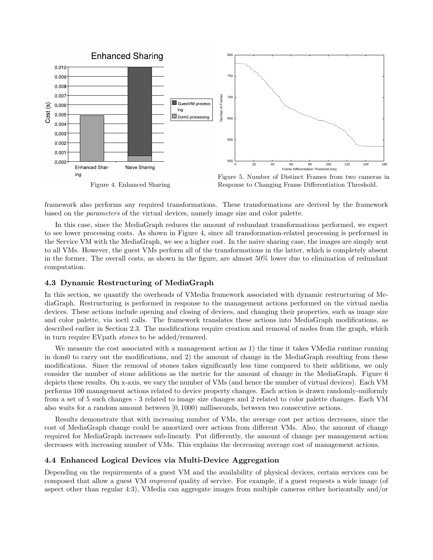

framework also performs any required transformations. These transformations are derived by the framework based on the parameters of the virtual devices, namely image size and color palette.

In this case, since the MediaGraph reduces the amount of redundant transformations performed, we expect to see lower processing costs. As shown in Figure 4, since all transformation-related processing is performed in the Service VM with the MediaGraph, we see a higher cost. In the naive sharing case, the images are simply sent to all VMs. However, the guest VMs perform all of the transformations in the latter, which is completely absent in the former. The overall costs, as shown in the figure, are almost 50% lower due to elimination of redundant computation.

## 4.3 Dynamic Restructuring of MediaGraph

In this section, we quantify the overheads of VMedia framework associated with dynamic restructuring of MediaGraph. Restructuring is performed in response to the management actions performed on the virtual media devices. These actions include opening and closing of devices, and changing their properties, such as image size and color palette, via ioctl calls. The framework translates these actions into MediaGraph modifications, as described earlier in Section 2.3. The modifications require creation and removal of nodes from the graph, which in turn require EVpath stones to be added/removed.

We measure the cost associated with a management action as 1) the time it takes VMedia runtime running in dom0 to carry out the modifications, and 2) the amount of change in the MediaGraph resulting from these modifications. Since the removal of stones takes significantly less time compared to their additions, we only consider the number of stone additions as the metric for the amount of change in the MediaGraph. Figure 6 depicts these results. On x-axis, we vary the number of VMs (and hence the number of virtual devices). Each VM performs 100 management actions related to device property changes. Each action is drawn randomly-uniformly from a set of 5 such changes - 3 related to image size changes and 2 related to color palette changes. Each VM also waits for a random amount between [0, 1000) milliseconds, between two consecutive actions.

Results demonstrate that with increasing number of VMs, the average cost per action decreases, since the cost of MediaGraph change could be amortized over actions from different VMs. Also, the amount of change required for MediaGraph increases sub-linearly. Put differently, the amount of change per management action decreases with increasing number of VMs. This explains the decreasing average cost of management actions.

# 4.4 Enhanced Logical Devices via Multi-Device Aggregation

Depending on the requirements of a guest VM and the availability of physical devices, certain services can be composed that allow a guest VM improved quality of service. For example, if a guest requests a wide image (of aspect other than regular 4:3), VMedia can aggregate images from multiple cameras either horizontally and/or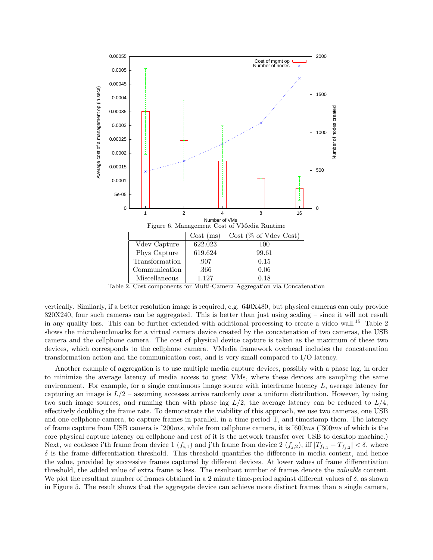

Table 2. Cost components for Multi-Camera Aggregation via Concatenation

vertically. Similarly, if a better resolution image is required, e.g. 640X480, but physical cameras can only provide 320X240, four such cameras can be aggregated. This is better than just using scaling – since it will not result in any quality loss. This can be further extended with additional processing to create a video wall.<sup>15</sup> Table 2 shows the microbenchmarks for a virtual camera device created by the concatenation of two cameras, the USB camera and the cellphone camera. The cost of physical device capture is taken as the maximum of these two devices, which corresponds to the cellphone camera. VMedia framework overhead includes the concatenation transformation action and the communication cost, and is very small compared to I/O latency.

Another example of aggregation is to use multiple media capture devices, possibly with a phase lag, in order to minimize the average latency of media access to guest VMs, where these devices are sampling the same environment. For example, for a single continuous image source with interframe latency L, average latency for capturing an image is  $L/2$  – assuming accesses arrive randomly over a uniform distribution. However, by using two such image sources, and running then with phase lag  $L/2$ , the average latency can be reduced to  $L/4$ , effectively doubling the frame rate. To demonstrate the viability of this approach, we use two cameras, one USB and one cellphone camera, to capture frames in parallel, in a time period T, and timestamp them. The latency of frame capture from USB camera is ~200ms, while from cellphone camera, it is ~600ms (~300ms of which is the core physical capture latency on cellphone and rest of it is the network transfer over USB to desktop machine.) Next, we coalesce i'th frame from device 1  $(f_{i,1})$  and j'th frame from device 2  $(f_{j,2})$ , iff  $|T_{f_{i,1}} - T_{f_{j,2}}| < \delta$ , where  $\delta$  is the frame differentiation threshold. This threshold quantifies the difference in media content, and hence the value, provided by successive frames captured by different devices. At lower values of frame differentiation threshold, the added value of extra frame is less. The resultant number of frames denote the valuable content. We plot the resultant number of frames obtained in a 2 minute time-period against different values of  $\delta$ , as shown in Figure 5. The result shows that the aggregate device can achieve more distinct frames than a single camera,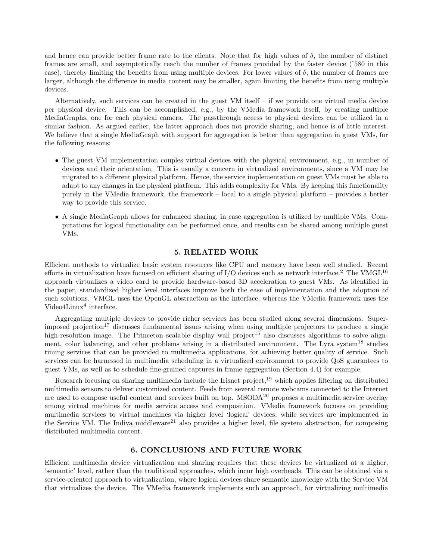and hence can provide better frame rate to the clients. Note that for high values of  $\delta$ , the number of distinct frames are small, and asymptotically reach the number of frames provided by the faster device (˜580 in this case), thereby limiting the benefits from using multiple devices. For lower values of  $\delta$ , the number of frames are larger, although the difference in media content may be smaller, again limiting the benefits from using multiple devices.

Alternatively, such services can be created in the guest VM itself – if we provide one virtual media device per physical device. This can be accomplished, e.g., by the VMedia framework itself, by creating multiple MediaGraphs, one for each physical camera. The passthrough access to physical devices can be utilized in a similar fashion. As argued earlier, the latter approach does not provide sharing, and hence is of little interest. We believe that a single MediaGraph with support for aggregation is better than aggregation in guest VMs, for the following reasons:

- The guest VM implementation couples virtual devices with the physical environment, e.g., in number of devices and their orientation. This is usually a concern in virtualized environments, since a VM may be migrated to a different physical platform. Hence, the service implementation on guest VMs must be able to adapt to any changes in the physical platform. This adds complexity for VMs. By keeping this functionality purely in the VMedia framework, the framework – local to a single physical platform – provides a better way to provide this service.
- A single MediaGraph allows for enhanced sharing, in case aggregation is utilized by multiple VMs. Computations for logical functionality can be performed once, and results can be shared among multiple guest VMs.

# 5. RELATED WORK

Efficient methods to virtualize basic system resources like CPU and memory have been well studied. Recent efforts in virtualization have focused on efficient sharing of  $I/O$  devices such as network interface.<sup>2</sup> The VMGL<sup>16</sup> approach virtualizes a video card to provide hardware-based 3D acceleration to guest VMs. As identified in the paper, standardized higher level interfaces improve both the ease of implementation and the adoption of such solutions. VMGL uses the OpenGL abstraction as the interface, whereas the VMedia framework uses the Video4Linux<sup>4</sup> interface.

Aggregating multiple devices to provide richer services has been studied along several dimensions. Superimposed projection<sup>17</sup> discusses fundamental issues arising when using multiple projectors to produce a single high-resolution image. The Princeton scalable display wall project<sup>15</sup> also discusses algorithms to solve alignment, color balancing, and other problems arising in a distributed environment. The Lyra system<sup>18</sup> studies timing services that can be provided to multimedia applications, for achieving better quality of service. Such services can be harnessed in multimedia scheduling in a virtualized environment to provide QoS guarantees to guest VMs, as well as to schedule fine-grained captures in frame aggregation (Section 4.4) for example.

Research focusing on sharing multimedia include the Irisnet project,<sup>19</sup> which applies filtering on distributed multimedia sensors to deliver customized content. Feeds from several remote webcams connected to the Internet are used to compose useful content and services built on top. MSODA<sup>20</sup> proposes a multimedia service overlay among virtual machines for media service access and composition. VMedia framework focuses on providing multimedia services to virtual machines via higher level 'logical' devices, while services are implemented in the Service VM. The Indiva middleware<sup>21</sup> also provides a higher level, file system abstraction, for composing distributed multimedia content.

## 6. CONCLUSIONS AND FUTURE WORK

Efficient multimedia device virtualization and sharing requires that these devices be virtualized at a higher, 'semantic' level, rather than the traditional approaches, which incur high overheads. This can be obtained via a service-oriented approach to virtualization, where logical devices share semantic knowledge with the Service VM that virtualizes the device. The VMedia framework implements such an approach, for virtualizing multimedia